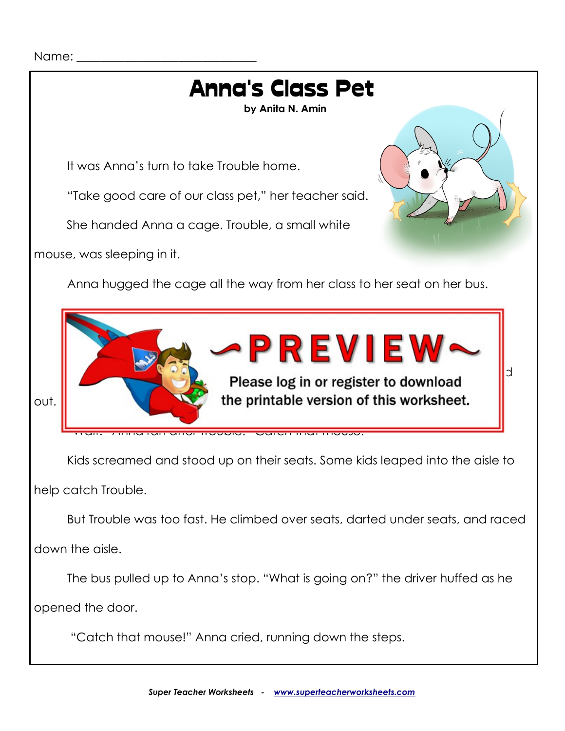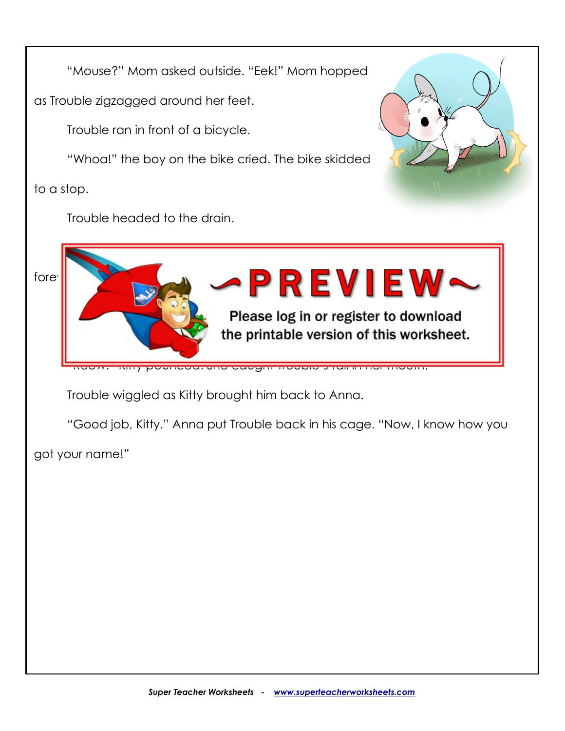"Mouse?" Mom asked outside. "Eek!" Mom hopped

as Trouble zigzagged around her feet.

Trouble ran in front of a bicycle.

"Whoa!" the boy on the bike cried. The bike skidded

to a stop.

Trouble headed to the drain.





Trouble wiggled as Kitty brought him back to Anna.

"Good job, Kitty." Anna put Trouble back in his cage. "Now, I know how you

got your name!"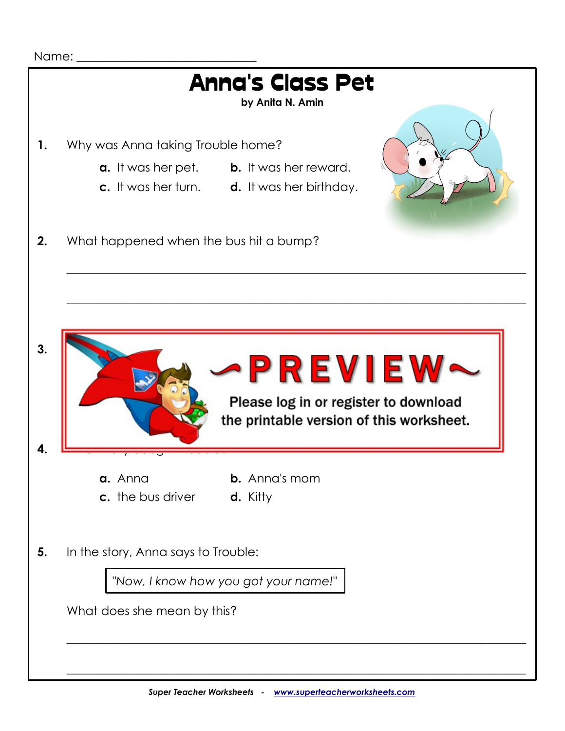

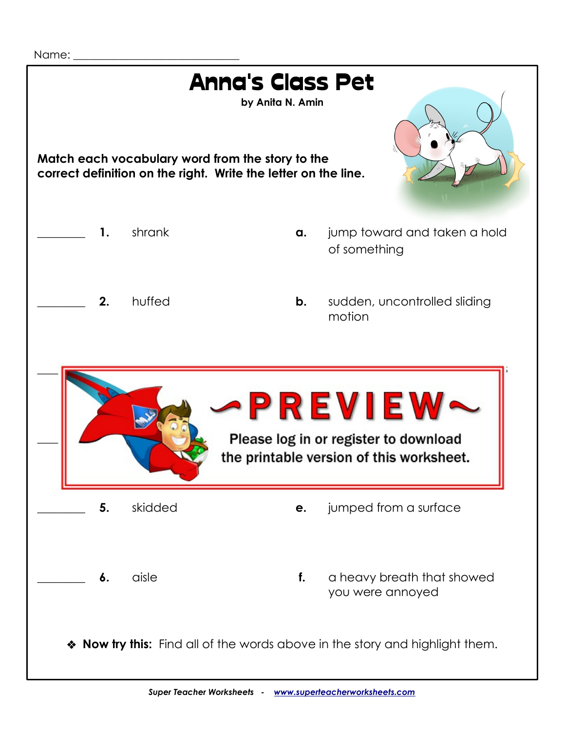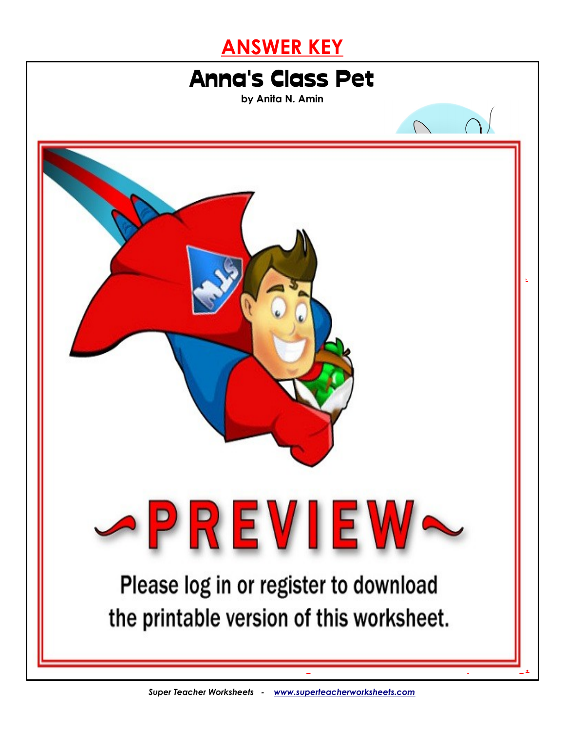



was filled with chaos and troubles, making her realize his name was quite fitting. The second second second second second second second second second second second second second second second second second second second se